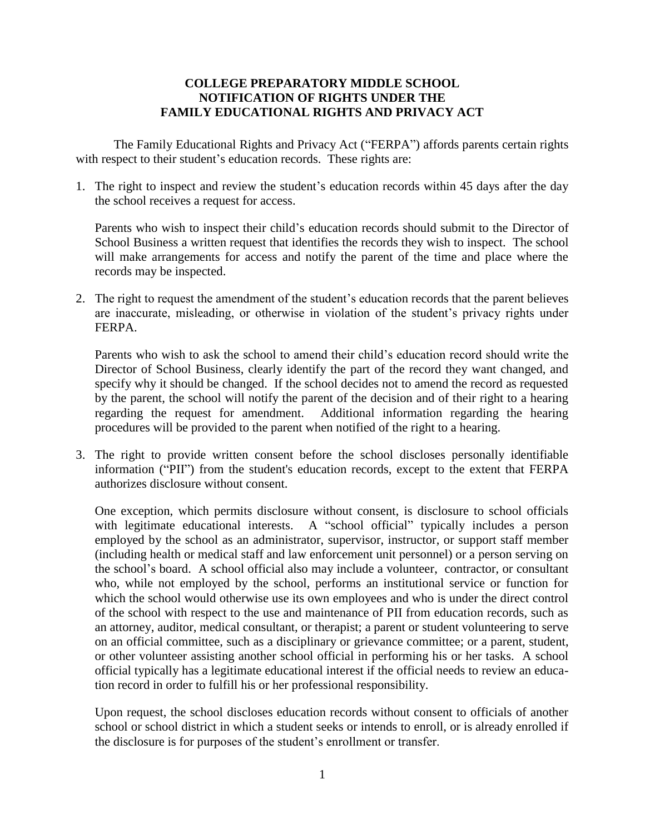## **COLLEGE PREPARATORY MIDDLE SCHOOL NOTIFICATION OF RIGHTS UNDER THE FAMILY EDUCATIONAL RIGHTS AND PRIVACY ACT**

The Family Educational Rights and Privacy Act ("FERPA") affords parents certain rights with respect to their student's education records. These rights are:

1. The right to inspect and review the student's education records within 45 days after the day the school receives a request for access.

Parents who wish to inspect their child's education records should submit to the Director of School Business a written request that identifies the records they wish to inspect. The school will make arrangements for access and notify the parent of the time and place where the records may be inspected.

2. The right to request the amendment of the student's education records that the parent believes are inaccurate, misleading, or otherwise in violation of the student's privacy rights under FERPA.

Parents who wish to ask the school to amend their child's education record should write the Director of School Business, clearly identify the part of the record they want changed, and specify why it should be changed. If the school decides not to amend the record as requested by the parent, the school will notify the parent of the decision and of their right to a hearing regarding the request for amendment. Additional information regarding the hearing procedures will be provided to the parent when notified of the right to a hearing.

3. The right to provide written consent before the school discloses personally identifiable information ("PII") from the student's education records, except to the extent that FERPA authorizes disclosure without consent.

One exception, which permits disclosure without consent, is disclosure to school officials with legitimate educational interests. A "school official" typically includes a person employed by the school as an administrator, supervisor, instructor, or support staff member (including health or medical staff and law enforcement unit personnel) or a person serving on the school's board. A school official also may include a volunteer, contractor, or consultant who, while not employed by the school, performs an institutional service or function for which the school would otherwise use its own employees and who is under the direct control of the school with respect to the use and maintenance of PII from education records, such as an attorney, auditor, medical consultant, or therapist; a parent or student volunteering to serve on an official committee, such as a disciplinary or grievance committee; or a parent, student, or other volunteer assisting another school official in performing his or her tasks. A school official typically has a legitimate educational interest if the official needs to review an education record in order to fulfill his or her professional responsibility.

Upon request, the school discloses education records without consent to officials of another school or school district in which a student seeks or intends to enroll, or is already enrolled if the disclosure is for purposes of the student's enrollment or transfer.